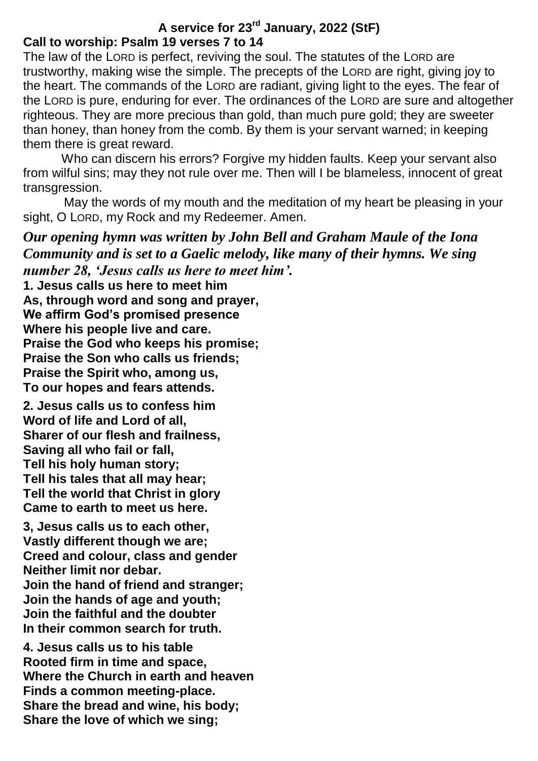# **A service for 23rd January, 2022 (StF) Call to worship: Psalm 19 verses 7 to 14**

The law of the LORD is perfect, reviving the soul. The statutes of the LORD are trustworthy, making wise the simple. The precepts of the LORD are right, giving joy to the heart. The commands of the LORD are radiant, giving light to the eyes. The fear of the LORD is pure, enduring for ever. The ordinances of the LORD are sure and altogether righteous. They are more precious than gold, than much pure gold; they are sweeter than honey, than honey from the comb. By them is your servant warned; in keeping them there is great reward.

 Who can discern his errors? Forgive my hidden faults. Keep your servant also from wilful sins; may they not rule over me. Then will I be blameless, innocent of great transgression.

 May the words of my mouth and the meditation of my heart be pleasing in your sight, O LORD, my Rock and my Redeemer. Amen.

*Our opening hymn was written by John Bell and Graham Maule of the Iona Community and is set to a Gaelic melody, like many of their hymns. We sing number 28, 'Jesus calls us here to meet him'.*

**1. Jesus calls us here to meet him As, through word and song and prayer, We affirm God's promised presence Where his people live and care. Praise the God who keeps his promise; Praise the Son who calls us friends; Praise the Spirit who, among us, To our hopes and fears attends.**

**2. Jesus calls us to confess him Word of life and Lord of all, Sharer of our flesh and frailness, Saving all who fail or fall, Tell his holy human story; Tell his tales that all may hear; Tell the world that Christ in glory Came to earth to meet us here.**

**3, Jesus calls us to each other, Vastly different though we are; Creed and colour, class and gender Neither limit nor debar. Join the hand of friend and stranger; Join the hands of age and youth; Join the faithful and the doubter In their common search for truth.**

**4. Jesus calls us to his table Rooted firm in time and space, Where the Church in earth and heaven Finds a common meeting-place. Share the bread and wine, his body; Share the love of which we sing;**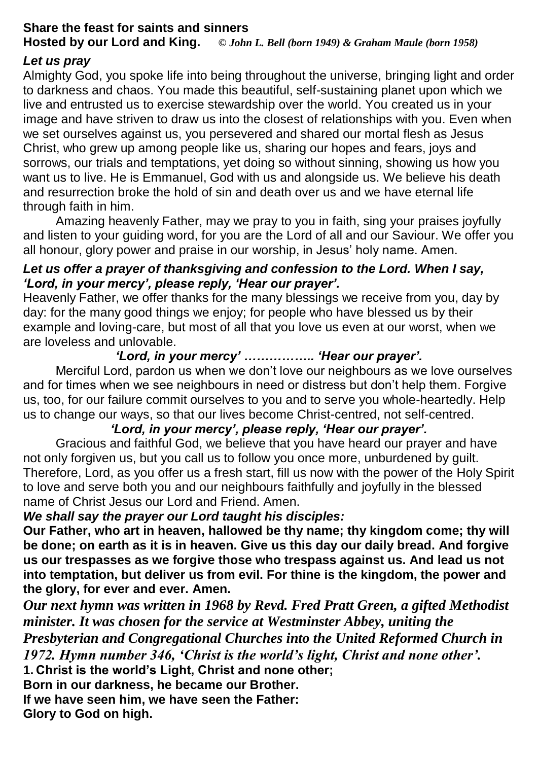# **Share the feast for saints and sinners Hosted by our Lord and King.** *© John L. Bell (born 1949) & Graham Maule (born 1958)*

## *Let us pray*

Almighty God, you spoke life into being throughout the universe, bringing light and order to darkness and chaos. You made this beautiful, self-sustaining planet upon which we live and entrusted us to exercise stewardship over the world. You created us in your image and have striven to draw us into the closest of relationships with you. Even when we set ourselves against us, you persevered and shared our mortal flesh as Jesus Christ, who grew up among people like us, sharing our hopes and fears, joys and sorrows, our trials and temptations, yet doing so without sinning, showing us how you want us to live. He is Emmanuel, God with us and alongside us. We believe his death and resurrection broke the hold of sin and death over us and we have eternal life through faith in him.

Amazing heavenly Father, may we pray to you in faith, sing your praises joyfully and listen to your guiding word, for you are the Lord of all and our Saviour. We offer you all honour, glory power and praise in our worship, in Jesus' holy name. Amen.

## *Let us offer a prayer of thanksgiving and confession to the Lord. When I say, 'Lord, in your mercy', please reply, 'Hear our prayer'.*

Heavenly Father, we offer thanks for the many blessings we receive from you, day by day: for the many good things we enjoy; for people who have blessed us by their example and loving-care, but most of all that you love us even at our worst, when we are loveless and unlovable.

# *'Lord, in your mercy' …………….. 'Hear our prayer'.*

Merciful Lord, pardon us when we don't love our neighbours as we love ourselves and for times when we see neighbours in need or distress but don't help them. Forgive us, too, for our failure commit ourselves to you and to serve you whole-heartedly. Help us to change our ways, so that our lives become Christ-centred, not self-centred.

## *'Lord, in your mercy', please reply, 'Hear our prayer'.*

Gracious and faithful God, we believe that you have heard our prayer and have not only forgiven us, but you call us to follow you once more, unburdened by guilt. Therefore, Lord, as you offer us a fresh start, fill us now with the power of the Holy Spirit to love and serve both you and our neighbours faithfully and joyfully in the blessed name of Christ Jesus our Lord and Friend. Amen.

## *We shall say the prayer our Lord taught his disciples:*

**Our Father, who art in heaven, hallowed be thy name; thy kingdom come; thy will be done; on earth as it is in heaven. Give us this day our daily bread. And forgive us our trespasses as we forgive those who trespass against us. And lead us not into temptation, but deliver us from evil. For thine is the kingdom, the power and the glory, for ever and ever. Amen.**

*Our next hymn was written in 1968 by Revd. Fred Pratt Green, a gifted Methodist minister. It was chosen for the service at Westminster Abbey, uniting the Presbyterian and Congregational Churches into the United Reformed Church in 1972. Hymn number 346, 'Christ is the world's light, Christ and none other'.* **1. Christ is the world's Light, Christ and none other;**

**Born in our darkness, he became our Brother.**

**If we have seen him, we have seen the Father: Glory to God on high.**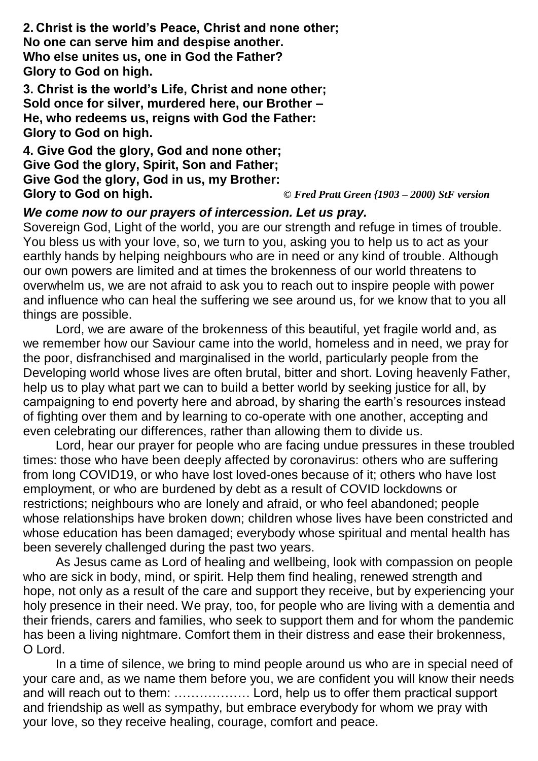**2. Christ is the world's Peace, Christ and none other; No one can serve him and despise another. Who else unites us, one in God the Father? Glory to God on high.**

**3. Christ is the world's Life, Christ and none other; Sold once for silver, murdered here, our Brother – He, who redeems us, reigns with God the Father: Glory to God on high.** 

**4. Give God the glory, God and none other; Give God the glory, Spirit, Son and Father; Give God the glory, God in us, my Brother: Glory to God on high.** *© Fred Pratt Green {1903 – 2000) StF version*

#### *We come now to our prayers of intercession. Let us pray.*

Sovereign God, Light of the world, you are our strength and refuge in times of trouble. You bless us with your love, so, we turn to you, asking you to help us to act as your earthly hands by helping neighbours who are in need or any kind of trouble. Although our own powers are limited and at times the brokenness of our world threatens to overwhelm us, we are not afraid to ask you to reach out to inspire people with power and influence who can heal the suffering we see around us, for we know that to you all things are possible.

Lord, we are aware of the brokenness of this beautiful, yet fragile world and, as we remember how our Saviour came into the world, homeless and in need, we pray for the poor, disfranchised and marginalised in the world, particularly people from the Developing world whose lives are often brutal, bitter and short. Loving heavenly Father, help us to play what part we can to build a better world by seeking justice for all, by campaigning to end poverty here and abroad, by sharing the earth's resources instead of fighting over them and by learning to co-operate with one another, accepting and even celebrating our differences, rather than allowing them to divide us.

Lord, hear our prayer for people who are facing undue pressures in these troubled times: those who have been deeply affected by coronavirus: others who are suffering from long COVID19, or who have lost loved-ones because of it; others who have lost employment, or who are burdened by debt as a result of COVID lockdowns or restrictions; neighbours who are lonely and afraid, or who feel abandoned; people whose relationships have broken down; children whose lives have been constricted and whose education has been damaged; everybody whose spiritual and mental health has been severely challenged during the past two years.

As Jesus came as Lord of healing and wellbeing, look with compassion on people who are sick in body, mind, or spirit. Help them find healing, renewed strength and hope, not only as a result of the care and support they receive, but by experiencing your holy presence in their need. We pray, too, for people who are living with a dementia and their friends, carers and families, who seek to support them and for whom the pandemic has been a living nightmare. Comfort them in their distress and ease their brokenness, O Lord.

In a time of silence, we bring to mind people around us who are in special need of your care and, as we name them before you, we are confident you will know their needs and will reach out to them: ……………… Lord, help us to offer them practical support and friendship as well as sympathy, but embrace everybody for whom we pray with your love, so they receive healing, courage, comfort and peace.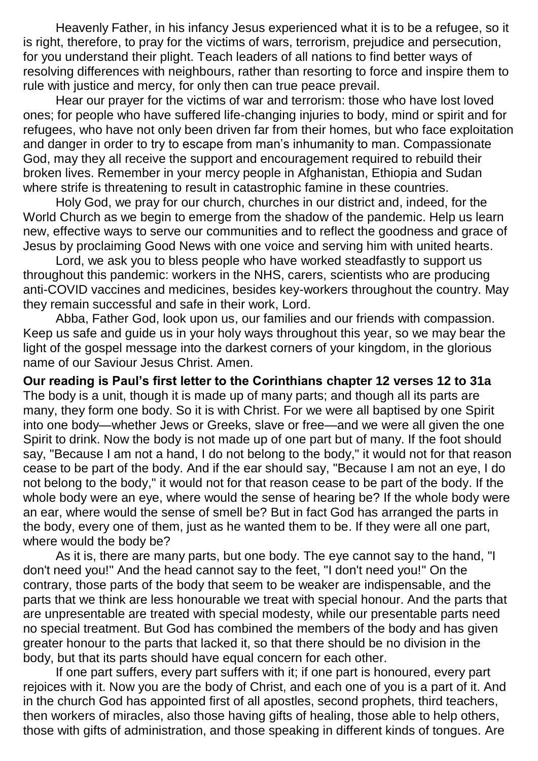Heavenly Father, in his infancy Jesus experienced what it is to be a refugee, so it is right, therefore, to pray for the victims of wars, terrorism, prejudice and persecution, for you understand their plight. Teach leaders of all nations to find better ways of resolving differences with neighbours, rather than resorting to force and inspire them to rule with justice and mercy, for only then can true peace prevail.

Hear our prayer for the victims of war and terrorism: those who have lost loved ones; for people who have suffered life-changing injuries to body, mind or spirit and for refugees, who have not only been driven far from their homes, but who face exploitation and danger in order to try to escape from man's inhumanity to man. Compassionate God, may they all receive the support and encouragement required to rebuild their broken lives. Remember in your mercy people in Afghanistan, Ethiopia and Sudan where strife is threatening to result in catastrophic famine in these countries.

Holy God, we pray for our church, churches in our district and, indeed, for the World Church as we begin to emerge from the shadow of the pandemic. Help us learn new, effective ways to serve our communities and to reflect the goodness and grace of Jesus by proclaiming Good News with one voice and serving him with united hearts.

Lord, we ask you to bless people who have worked steadfastly to support us throughout this pandemic: workers in the NHS, carers, scientists who are producing anti-COVID vaccines and medicines, besides key-workers throughout the country. May they remain successful and safe in their work, Lord.

Abba, Father God, look upon us, our families and our friends with compassion. Keep us safe and guide us in your holy ways throughout this year, so we may bear the light of the gospel message into the darkest corners of your kingdom, in the glorious name of our Saviour Jesus Christ. Amen.

**Our reading is Paul's first letter to the Corinthians chapter 12 verses 12 to 31a** The body is a unit, though it is made up of many parts; and though all its parts are many, they form one body. So it is with Christ. For we were all baptised by one Spirit into one body—whether Jews or Greeks, slave or free—and we were all given the one Spirit to drink. Now the body is not made up of one part but of many. If the foot should say, "Because I am not a hand, I do not belong to the body," it would not for that reason cease to be part of the body. And if the ear should say, "Because I am not an eye, I do not belong to the body," it would not for that reason cease to be part of the body. If the whole body were an eye, where would the sense of hearing be? If the whole body were an ear, where would the sense of smell be? But in fact God has arranged the parts in the body, every one of them, just as he wanted them to be. If they were all one part, where would the body be?

As it is, there are many parts, but one body. The eye cannot say to the hand, "I don't need you!" And the head cannot say to the feet, "I don't need you!" On the contrary, those parts of the body that seem to be weaker are indispensable, and the parts that we think are less honourable we treat with special honour. And the parts that are unpresentable are treated with special modesty, while our presentable parts need no special treatment. But God has combined the members of the body and has given greater honour to the parts that lacked it, so that there should be no division in the body, but that its parts should have equal concern for each other.

If one part suffers, every part suffers with it; if one part is honoured, every part rejoices with it. Now you are the body of Christ, and each one of you is a part of it. And in the church God has appointed first of all apostles, second prophets, third teachers, then workers of miracles, also those having gifts of healing, those able to help others, those with gifts of administration, and those speaking in different kinds of tongues. Are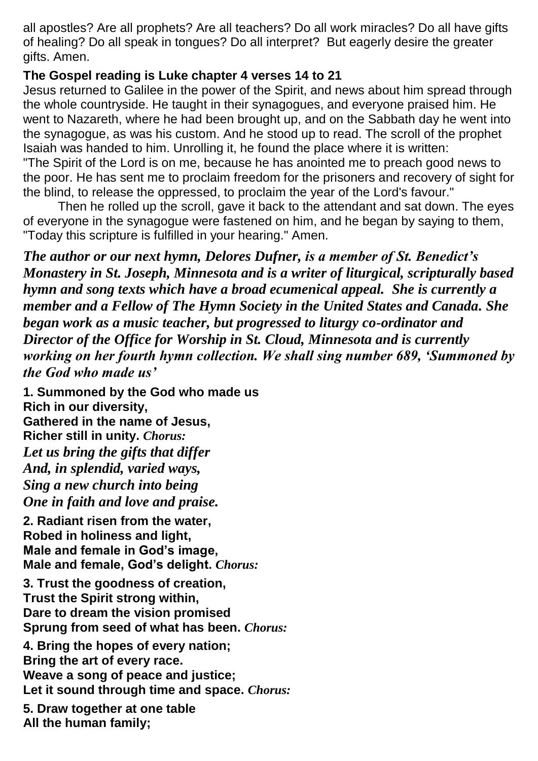all apostles? Are all prophets? Are all teachers? Do all work miracles? Do all have gifts of healing? Do all speak in tongues? Do all interpret? But eagerly desire the greater gifts. Amen.

## **The Gospel reading is Luke chapter 4 verses 14 to 21**

Jesus returned to Galilee in the power of the Spirit, and news about him spread through the whole countryside. He taught in their synagogues, and everyone praised him. He went to Nazareth, where he had been brought up, and on the Sabbath day he went into the synagogue, as was his custom. And he stood up to read. The scroll of the prophet Isaiah was handed to him. Unrolling it, he found the place where it is written: "The Spirit of the Lord is on me, because he has anointed me to preach good news to the poor. He has sent me to proclaim freedom for the prisoners and recovery of sight for the blind, to release the oppressed, to proclaim the year of the Lord's favour."

 Then he rolled up the scroll, gave it back to the attendant and sat down. The eyes of everyone in the synagogue were fastened on him, and he began by saying to them, "Today this scripture is fulfilled in your hearing." Amen.

*The author or our next hymn, Delores Dufner, is a member of St. Benedict's Monastery in St. Joseph, Minnesota and is a writer of liturgical, scripturally based hymn and song texts which have a broad ecumenical appeal. She is currently a member and a Fellow of The Hymn Society in the United States and Canada. She began work as a music teacher, but progressed to liturgy co-ordinator and Director of the Office for Worship in St. Cloud, Minnesota and is currently working on her fourth hymn collection. We shall sing number 689, 'Summoned by the God who made us'*

**1. Summoned by the God who made us Rich in our diversity, Gathered in the name of Jesus, Richer still in unity.** *Chorus: Let us bring the gifts that differ And, in splendid, varied ways, Sing a new church into being One in faith and love and praise.*

**2. Radiant risen from the water, Robed in holiness and light, Male and female in God's image, Male and female, God's delight.** *Chorus:*

**3. Trust the goodness of creation, Trust the Spirit strong within, Dare to dream the vision promised Sprung from seed of what has been.** *Chorus:*

**4. Bring the hopes of every nation; Bring the art of every race. Weave a song of peace and justice; Let it sound through time and space.** *Chorus:*

**5. Draw together at one table All the human family;**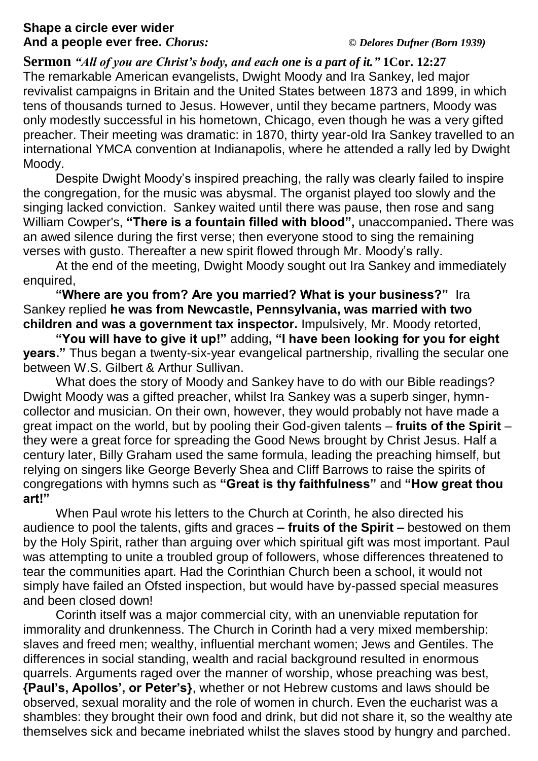#### **Shape a circle ever wider And a people ever free.** *Chorus: © Delores Dufner (Born 1939)*

**Sermon** *"All of you are Christ's body, and each one is a part of it."* **1Cor. 12:27** The remarkable American evangelists, Dwight Moody and Ira Sankey, led major revivalist campaigns in Britain and the United States between 1873 and 1899, in which tens of thousands turned to Jesus. However, until they became partners, Moody was only modestly successful in his hometown, Chicago, even though he was a very gifted preacher. Their meeting was dramatic: in 1870, thirty year-old Ira Sankey travelled to an international YMCA convention at Indianapolis, where he attended a rally led by Dwight Moody.

Despite Dwight Moody's inspired preaching, the rally was clearly failed to inspire the congregation, for the music was abysmal. The organist played too slowly and the singing lacked conviction. Sankey waited until there was pause, then rose and sang William Cowper's, "There is a fountain filled with blood", unaccompanied. There was an awed silence during the first verse; then everyone stood to sing the remaining verses with gusto. Thereafter a new spirit flowed through Mr. Moody's rally.

At the end of the meeting, Dwight Moody sought out Ira Sankey and immediately enquired,

**"Where are you from? Are you married? What is your business?"** Ira Sankey replied **he was from Newcastle, Pennsylvania, was married with two children and was a government tax inspector.** Impulsively, Mr. Moody retorted,

**"You will have to give it up!"** adding**, "I have been looking for you for eight years."** Thus began a twenty-six-year evangelical partnership, rivalling the secular one between W.S. Gilbert & Arthur Sullivan.

What does the story of Moody and Sankey have to do with our Bible readings? Dwight Moody was a gifted preacher, whilst Ira Sankey was a superb singer, hymncollector and musician. On their own, however, they would probably not have made a great impact on the world, but by pooling their God-given talents – **fruits of the Spirit** – they were a great force for spreading the Good News brought by Christ Jesus. Half a century later, Billy Graham used the same formula, leading the preaching himself, but relying on singers like George Beverly Shea and Cliff Barrows to raise the spirits of congregations with hymns such as **"Great is thy faithfulness"** and **"How great thou art!"**

When Paul wrote his letters to the Church at Corinth, he also directed his audience to pool the talents, gifts and graces **– fruits of the Spirit –** bestowed on them by the Holy Spirit, rather than arguing over which spiritual gift was most important. Paul was attempting to unite a troubled group of followers, whose differences threatened to tear the communities apart. Had the Corinthian Church been a school, it would not simply have failed an Ofsted inspection, but would have by-passed special measures and been closed down!

Corinth itself was a major commercial city, with an unenviable reputation for immorality and drunkenness. The Church in Corinth had a very mixed membership: slaves and freed men; wealthy, influential merchant women; Jews and Gentiles. The differences in social standing, wealth and racial background resulted in enormous quarrels. Arguments raged over the manner of worship, whose preaching was best, **{Paul's, Apollos', or Peter's}**, whether or not Hebrew customs and laws should be observed, sexual morality and the role of women in church. Even the eucharist was a shambles: they brought their own food and drink, but did not share it, so the wealthy ate themselves sick and became inebriated whilst the slaves stood by hungry and parched.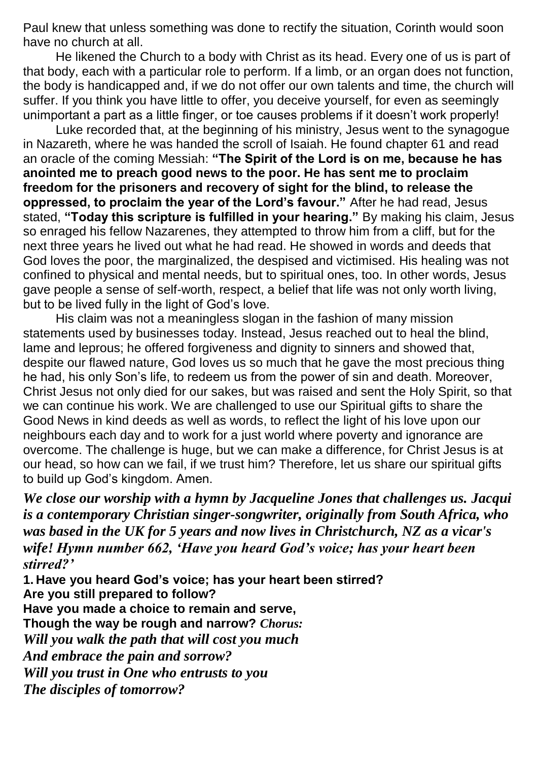Paul knew that unless something was done to rectify the situation, Corinth would soon have no church at all.

He likened the Church to a body with Christ as its head. Every one of us is part of that body, each with a particular role to perform. If a limb, or an organ does not function, the body is handicapped and, if we do not offer our own talents and time, the church will suffer. If you think you have little to offer, you deceive yourself, for even as seemingly unimportant a part as a little finger, or toe causes problems if it doesn't work properly!

Luke recorded that, at the beginning of his ministry, Jesus went to the synagogue in Nazareth, where he was handed the scroll of Isaiah. He found chapter 61 and read an oracle of the coming Messiah: **"The Spirit of the Lord is on me, because he has anointed me to preach good news to the poor. He has sent me to proclaim freedom for the prisoners and recovery of sight for the blind, to release the oppressed, to proclaim the year of the Lord's favour."** After he had read, Jesus stated, **"Today this scripture is fulfilled in your hearing."** By making his claim, Jesus so enraged his fellow Nazarenes, they attempted to throw him from a cliff, but for the next three years he lived out what he had read. He showed in words and deeds that God loves the poor, the marginalized, the despised and victimised. His healing was not confined to physical and mental needs, but to spiritual ones, too. In other words, Jesus gave people a sense of self-worth, respect, a belief that life was not only worth living, but to be lived fully in the light of God's love.

His claim was not a meaningless slogan in the fashion of many mission statements used by businesses today. Instead, Jesus reached out to heal the blind, lame and leprous; he offered forgiveness and dignity to sinners and showed that, despite our flawed nature, God loves us so much that he gave the most precious thing he had, his only Son's life, to redeem us from the power of sin and death. Moreover, Christ Jesus not only died for our sakes, but was raised and sent the Holy Spirit, so that we can continue his work. We are challenged to use our Spiritual gifts to share the Good News in kind deeds as well as words, to reflect the light of his love upon our neighbours each day and to work for a just world where poverty and ignorance are overcome. The challenge is huge, but we can make a difference, for Christ Jesus is at our head, so how can we fail, if we trust him? Therefore, let us share our spiritual gifts to build up God's kingdom. Amen.

*We close our worship with a hymn by Jacqueline Jones that challenges us. Jacqui is a contemporary Christian singer-songwriter, originally from South Africa, who was based in the UK for 5 years and now lives in Christchurch, NZ as a vicar's wife! Hymn number 662, 'Have you heard God's voice; has your heart been stirred?'*

**1. Have you heard God's voice; has your heart been stirred? Are you still prepared to follow? Have you made a choice to remain and serve, Though the way be rough and narrow?** *Chorus: Will you walk the path that will cost you much And embrace the pain and sorrow? Will you trust in One who entrusts to you The disciples of tomorrow?*